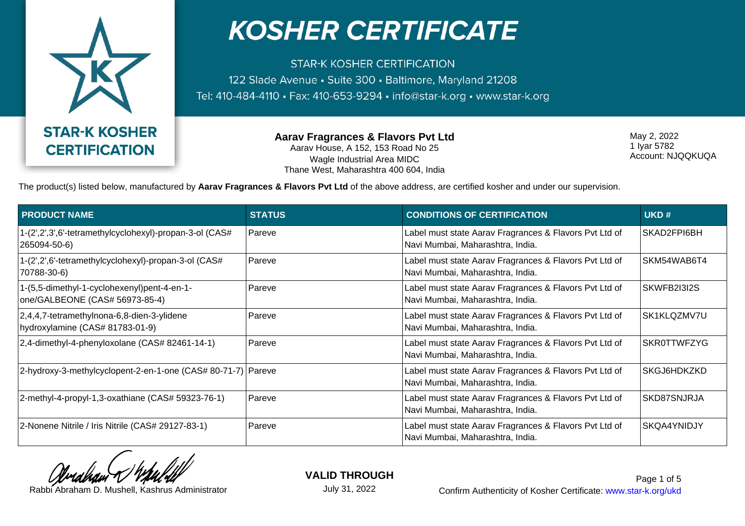

**STAR-K KOSHER CERTIFICATION** 122 Slade Avenue · Suite 300 · Baltimore, Maryland 21208 Tel: 410-484-4110 · Fax: 410-653-9294 · info@star-k.org · www.star-k.org

> **Aarav Fragrances & Flavors Pvt Ltd** Aarav House, A 152, 153 Road No 25 Wagle Industrial Area MIDC Thane West, Maharashtra 400 604, India

May 2, 2022 1 Iyar 5782 Account: NJQQKUQA

The product(s) listed below, manufactured by **Aarav Fragrances & Flavors Pvt Ltd** of the above address, are certified kosher and under our supervision.

| <b>PRODUCT NAME</b>                                                           | <b>STATUS</b> | <b>CONDITIONS OF CERTIFICATION</b>                                                         | UKD#               |
|-------------------------------------------------------------------------------|---------------|--------------------------------------------------------------------------------------------|--------------------|
| 1-(2',2',3',6'-tetramethylcyclohexyl)-propan-3-ol (CAS#<br>265094-50-6)       | Pareve        | Label must state Aarav Fragrances & Flavors Pvt Ltd of<br>Navi Mumbai, Maharashtra, India. | SKAD2FPI6BH        |
| 1-(2',2',6'-tetramethylcyclohexyl)-propan-3-ol (CAS#<br>70788-30-6)           | Pareve        | Label must state Aarav Fragrances & Flavors Pvt Ltd of<br>Navi Mumbai, Maharashtra, India. | SKM54WAB6T4        |
| 1-(5,5-dimethyl-1-cyclohexenyl)pent-4-en-1-<br>one/GALBEONE (CAS# 56973-85-4) | Pareve        | Label must state Aarav Fragrances & Flavors Pvt Ltd of<br>Navi Mumbai, Maharashtra, India. | SKWFB2I3I2S        |
| 2,4,4,7-tetramethylnona-6,8-dien-3-ylidene<br>hydroxylamine (CAS# 81783-01-9) | Pareve        | Label must state Aarav Fragrances & Flavors Pvt Ltd of<br>Navi Mumbai, Maharashtra, India. | SK1KLQZMV7U        |
| 2,4-dimethyl-4-phenyloxolane (CAS# 82461-14-1)                                | Pareve        | Label must state Aarav Fragrances & Flavors Pvt Ltd of<br>Navi Mumbai, Maharashtra, India. | <b>SKR0TTWFZYG</b> |
| 2-hydroxy-3-methylcyclopent-2-en-1-one (CAS# 80-71-7) Pareve                  |               | Label must state Aarav Fragrances & Flavors Pvt Ltd of<br>Navi Mumbai, Maharashtra, India. | SKGJ6HDKZKD        |
| 2-methyl-4-propyl-1,3-oxathiane (CAS# 59323-76-1)                             | Pareve        | Label must state Aarav Fragrances & Flavors Pvt Ltd of<br>Navi Mumbai, Maharashtra, India. | SKD87SNJRJA        |
| 2-Nonene Nitrile / Iris Nitrile (CAS# 29127-83-1)                             | Pareve        | Label must state Aarav Fragrances & Flavors Pvt Ltd of<br>Navi Mumbai, Maharashtra, India. | SKQA4YNIDJY        |

**VALID THROUGH**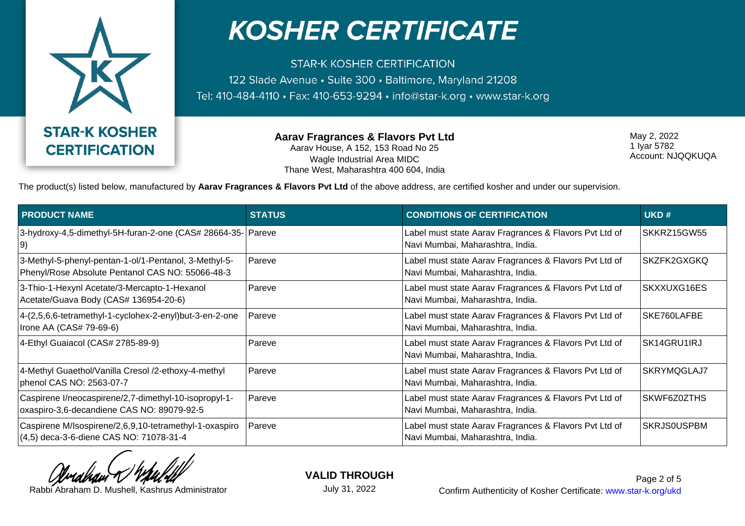

**STAR-K KOSHER CERTIFICATION** 122 Slade Avenue · Suite 300 · Baltimore, Maryland 21208 Tel: 410-484-4110 · Fax: 410-653-9294 · info@star-k.org · www.star-k.org

> **Aarav Fragrances & Flavors Pvt Ltd** Aarav House, A 152, 153 Road No 25 Wagle Industrial Area MIDC Thane West, Maharashtra 400 604, India

May 2, 2022 1 Iyar 5782 Account: NJQQKUQA

The product(s) listed below, manufactured by **Aarav Fragrances & Flavors Pvt Ltd** of the above address, are certified kosher and under our supervision.

| <b>PRODUCT NAME</b>                                                                                       | <b>STATUS</b> | <b>CONDITIONS OF CERTIFICATION</b>                                                         | UKD#               |
|-----------------------------------------------------------------------------------------------------------|---------------|--------------------------------------------------------------------------------------------|--------------------|
| 3-hydroxy-4,5-dimethyl-5H-furan-2-one (CAS# 28664-35- Pareve<br>9)                                        |               | Label must state Aarav Fragrances & Flavors Pvt Ltd of<br>Navi Mumbai, Maharashtra, India. | SKKRZ15GW55        |
| 3-Methyl-5-phenyl-pentan-1-ol/1-Pentanol, 3-Methyl-5-<br>Phenyl/Rose Absolute Pentanol CAS NO: 55066-48-3 | Pareve        | Label must state Aarav Fragrances & Flavors Pvt Ltd of<br>Navi Mumbai, Maharashtra, India. | SKZFK2GXGKQ        |
| 3-Thio-1-Hexynl Acetate/3-Mercapto-1-Hexanol<br>Acetate/Guava Body (CAS# 136954-20-6)                     | Pareve        | Label must state Aarav Fragrances & Flavors Pvt Ltd of<br>Navi Mumbai, Maharashtra, India. | SKXXUXG16ES        |
| 4-(2,5,6,6-tetramethyl-1-cyclohex-2-enyl)but-3-en-2-one<br>Irone AA (CAS# 79-69-6)                        | Pareve        | Label must state Aarav Fragrances & Flavors Pvt Ltd of<br>Navi Mumbai, Maharashtra, India. | SKE760LAFBE        |
| 4-Ethyl Guaiacol (CAS# 2785-89-9)                                                                         | Pareve        | Label must state Aarav Fragrances & Flavors Pvt Ltd of<br>Navi Mumbai, Maharashtra, India. | SK14GRU1IRJ        |
| 4-Methyl Guaethol/Vanilla Cresol /2-ethoxy-4-methyl<br>phenol CAS NO: 2563-07-7                           | Pareve        | Label must state Aarav Fragrances & Flavors Pvt Ltd of<br>Navi Mumbai, Maharashtra, India. | SKRYMQGLAJ7        |
| Caspirene I/neocaspirene/2,7-dimethyl-10-isopropyl-1-<br>oxaspiro-3,6-decandiene CAS NO: 89079-92-5       | Pareve        | Label must state Aarav Fragrances & Flavors Pvt Ltd of<br>Navi Mumbai, Maharashtra, India. | SKWF6Z0ZTHS        |
| Caspirene M/Isospirene/2,6,9,10-tetramethyl-1-oxaspiro<br>(4,5) deca-3-6-diene CAS NO: 71078-31-4         | Pareve        | Label must state Aarav Fragrances & Flavors Pvt Ltd of<br>Navi Mumbai, Maharashtra, India. | <b>SKRJS0USPBM</b> |

**VALID THROUGH**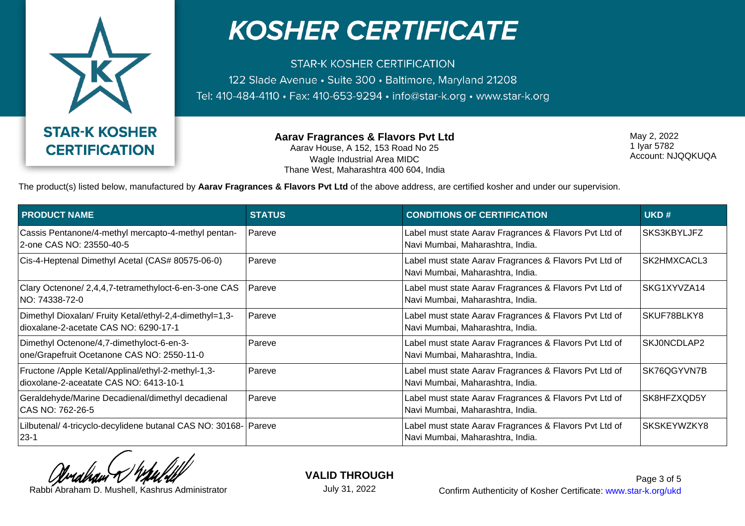

**STAR-K KOSHER CERTIFICATION** 122 Slade Avenue · Suite 300 · Baltimore, Maryland 21208 Tel: 410-484-4110 · Fax: 410-653-9294 · info@star-k.org · www.star-k.org

> **Aarav Fragrances & Flavors Pvt Ltd** Aarav House, A 152, 153 Road No 25 Wagle Industrial Area MIDC Thane West, Maharashtra 400 604, India

May 2, 2022 1 Iyar 5782 Account: NJQQKUQA

The product(s) listed below, manufactured by **Aarav Fragrances & Flavors Pvt Ltd** of the above address, are certified kosher and under our supervision.

| <b>PRODUCT NAME</b>                                                                              | <b>STATUS</b> | <b>CONDITIONS OF CERTIFICATION</b>                                                         | UKD#        |
|--------------------------------------------------------------------------------------------------|---------------|--------------------------------------------------------------------------------------------|-------------|
| Cassis Pentanone/4-methyl mercapto-4-methyl pentan-<br>2-one CAS NO: 23550-40-5                  | Pareve        | Label must state Aarav Fragrances & Flavors Pvt Ltd of<br>Navi Mumbai, Maharashtra, India. | SKS3KBYLJFZ |
| Cis-4-Heptenal Dimethyl Acetal (CAS# 80575-06-0)                                                 | Pareve        | Label must state Aarav Fragrances & Flavors Pvt Ltd of<br>Navi Mumbai, Maharashtra, India. | SK2HMXCACL3 |
| Clary Octenone/ 2,4,4,7-tetramethyloct-6-en-3-one CAS<br>NO: 74338-72-0                          | <b>Pareve</b> | Label must state Aarav Fragrances & Flavors Pvt Ltd of<br>Navi Mumbai, Maharashtra, India. | SKG1XYVZA14 |
| Dimethyl Dioxalan/ Fruity Ketal/ethyl-2,4-dimethyl=1,3-<br>dioxalane-2-acetate CAS NO: 6290-17-1 | Pareve        | Label must state Aarav Fragrances & Flavors Pvt Ltd of<br>Navi Mumbai, Maharashtra, India. | SKUF78BLKY8 |
| Dimethyl Octenone/4,7-dimethyloct-6-en-3-<br>one/Grapefruit Ocetanone CAS NO: 2550-11-0          | Pareve        | Label must state Aarav Fragrances & Flavors Pvt Ltd of<br>Navi Mumbai, Maharashtra, India. | SKJ0NCDLAP2 |
| Fructone /Apple Ketal/Applinal/ethyl-2-methyl-1,3-<br>dioxolane-2-aceatate CAS NO: 6413-10-1     | Pareve        | Label must state Aarav Fragrances & Flavors Pvt Ltd of<br>Navi Mumbai, Maharashtra, India. | SK76QGYVN7B |
| Geraldehyde/Marine Decadienal/dimethyl decadienal<br>CAS NO: 762-26-5                            | Pareve        | Label must state Aarav Fragrances & Flavors Pvt Ltd of<br>Navi Mumbai, Maharashtra, India. | SK8HFZXQD5Y |
| Lilbutenal/ 4-tricyclo-decylidene butanal CAS NO: 30168- Pareve<br>$23 - 1$                      |               | Label must state Aarav Fragrances & Flavors Pvt Ltd of<br>Navi Mumbai, Maharashtra, India. | SKSKEYWZKY8 |

**VALID THROUGH** July 31, 2022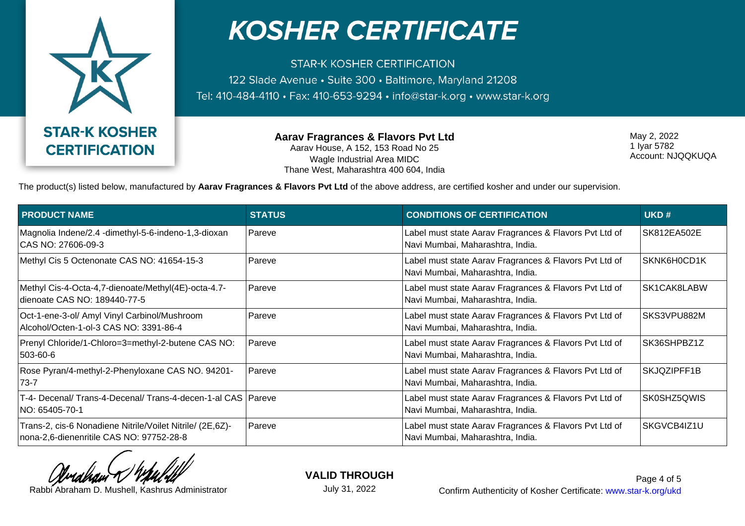

**STAR-K KOSHER CERTIFICATION** 122 Slade Avenue · Suite 300 · Baltimore, Maryland 21208 Tel: 410-484-4110 · Fax: 410-653-9294 · info@star-k.org · www.star-k.org

> **Aarav Fragrances & Flavors Pvt Ltd** Aarav House, A 152, 153 Road No 25 Wagle Industrial Area MIDC Thane West, Maharashtra 400 604, India

May 2, 2022 1 Iyar 5782 Account: NJQQKUQA

The product(s) listed below, manufactured by **Aarav Fragrances & Flavors Pvt Ltd** of the above address, are certified kosher and under our supervision.

| <b>PRODUCT NAME</b>                                                                                   | <b>STATUS</b> | <b>CONDITIONS OF CERTIFICATION</b>                                                         | UKD#        |
|-------------------------------------------------------------------------------------------------------|---------------|--------------------------------------------------------------------------------------------|-------------|
| Magnolia Indene/2.4 -dimethyl-5-6-indeno-1,3-dioxan<br>CAS NO: 27606-09-3                             | Pareve        | Label must state Aarav Fragrances & Flavors Pvt Ltd of<br>Navi Mumbai, Maharashtra, India. | SK812EA502E |
| Methyl Cis 5 Octenonate CAS NO: 41654-15-3                                                            | Pareve        | Label must state Aarav Fragrances & Flavors Pvt Ltd of<br>Navi Mumbai, Maharashtra, India. | SKNK6H0CD1K |
| Methyl Cis-4-Octa-4,7-dienoate/Methyl(4E)-octa-4.7-<br>dienoate CAS NO: 189440-77-5                   | Pareve        | Label must state Aarav Fragrances & Flavors Pvt Ltd of<br>Navi Mumbai, Maharashtra, India. | SK1CAK8LABW |
| Oct-1-ene-3-ol/ Amyl Vinyl Carbinol/Mushroom<br>Alcohol/Octen-1-ol-3 CAS NO: 3391-86-4                | Pareve        | Label must state Aarav Fragrances & Flavors Pvt Ltd of<br>Navi Mumbai, Maharashtra, India. | SKS3VPU882M |
| Prenyl Chloride/1-Chloro=3=methyl-2-butene CAS NO:<br>$503 - 60 - 6$                                  | Pareve        | Label must state Aarav Fragrances & Flavors Pvt Ltd of<br>Navi Mumbai, Maharashtra, India. | SK36SHPBZ1Z |
| Rose Pyran/4-methyl-2-Phenyloxane CAS NO. 94201-<br>$73 - 7$                                          | Pareve        | Label must state Aarav Fragrances & Flavors Pvt Ltd of<br>Navi Mumbai, Maharashtra, India. | SKJQZIPFF1B |
| T-4- Decenal/ Trans-4-Decenal/ Trans-4-decen-1-al CAS   Pareve<br>NO: 65405-70-1                      |               | Label must state Aarav Fragrances & Flavors Pvt Ltd of<br>Navi Mumbai, Maharashtra, India. | SK0SHZ5QWIS |
| Trans-2, cis-6 Nonadiene Nitrile/Voilet Nitrile/ (2E,6Z)-<br>nona-2,6-dienenritile CAS NO: 97752-28-8 | Pareve        | Label must state Aarav Fragrances & Flavors Pvt Ltd of<br>Navi Mumbai, Maharashtra, India. | SKGVCB4IZ1U |

**VALID THROUGH** July 31, 2022